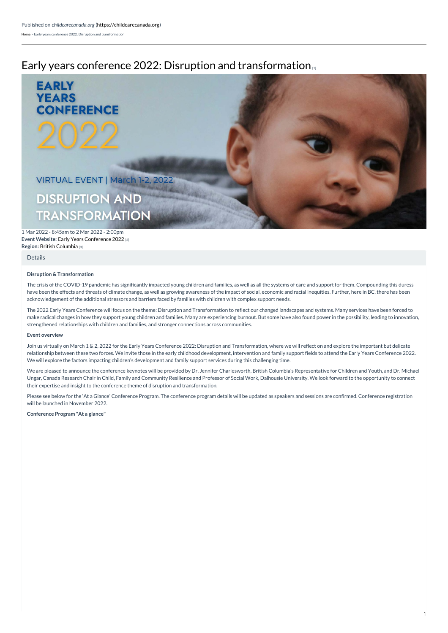# Early years conference 2022: Disruption and [transformation](https://childcarecanada.org/resources/events/22/03/early-years-conference-2022-disruption-and-transformation)



**Event Website: Early Years [Conference](https://eyc2022.com/) 2022 [2] Region:** British [Columbia](https://childcarecanada.org/taxonomy/term/7860) [3] 1 Mar 2022 - 8:45am to 2 Mar 2022 - 2:00pm

#### [Details](https://childcarecanada.org/resources/events/22/03/early-years-conference-2022-disruption-and-transformation#bootstrap-panel-body)

### **Disruption & Transformation**

The crisis of the COVID-19 pandemic has significantly impacted young children and families, as well as all the systems of care and support for them. Compounding this duress have been the effects and threats of climate change, as well as growing awareness of the impact of social, economic and racial inequities. Further, here in BC, there has been acknowledgement of the additional stressors and barriers faced by families with children with complex support needs.

The 2022 Early Years Conference will focus on the theme: Disruption and Transformation to reflect our changed landscapes and systems. Many services have been forced to make radical changes in how they support young children and families. Many are experiencing burnout. But some have also found power in the possibility, leading to innovation, strengthened relationships with children and families, and stronger connections across communities.

#### **Event overview**

Join us virtually on March 1 & 2, 2022 for the Early Years Conference 2022: Disruption and Transformation, where we will reflect on and explore the important but delicate relationship between these two forces. We invite those in the early childhood development, intervention and family support fields to attend the Early Years Conference 2022. We will explore the factors impacting children's development and family support services during this challenging time.

We are pleased to announce the conference keynotes will be provided by Dr. Jennifer Charlesworth, British Columbia's Representative for Children and Youth, and Dr. Michael Ungar, Canada Research Chair in Child, Family and Community Resilience and Professor of Social Work, Dalhousie University. We look forward to the opportunity to connect their expertise and insight to the conference theme of disruption and transformation.

Please see below for the 'At a Glance' Conference Program. The conference program details will be updated as speakers and sessions are confirmed. Conference registration will be launched in November 2022.

**Conference Program "At a glance"**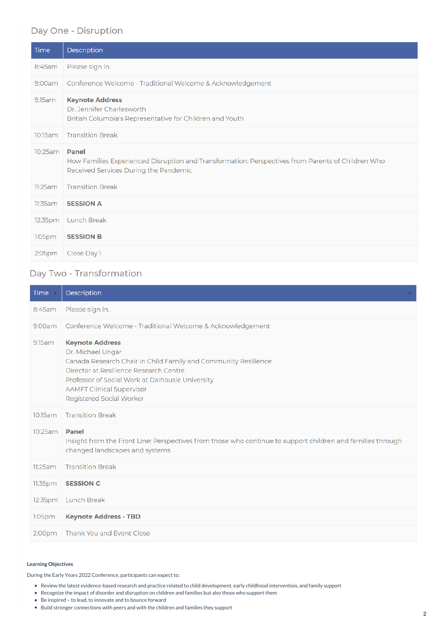## Day One - Disruption

| Time                 | Description                                                                                                                                |
|----------------------|--------------------------------------------------------------------------------------------------------------------------------------------|
| 8:45am               | Please sign in.                                                                                                                            |
| 9:00am               | Conference Welcome - Traditional Welcome & Acknowledgement                                                                                 |
| 9:15am               | <b>Keynote Address</b><br>Dr. Jennifer Charlesworth<br>British Columbia's Representative for Children and Youth                            |
| 10:15am              | <b>Transition Break</b>                                                                                                                    |
| 10:25am <b>Panel</b> | How Families Experienced Disruption and Transformation: Perspectives from Parents of Children Who<br>Received Services During the Pandemic |
| 11:25am              | <b>Transition Break</b>                                                                                                                    |
| 11:35am              | <b>SESSION A</b>                                                                                                                           |
| 12:35pm              | Lunch Break                                                                                                                                |
| 1:05 <sub>pm</sub>   | <b>SESSION B</b>                                                                                                                           |
| 2:05 <sub>pm</sub>   | Close Day 1                                                                                                                                |

## Day Two - Transformation

| Time                 | Description                                                                                                                                                                                                                                                                 |
|----------------------|-----------------------------------------------------------------------------------------------------------------------------------------------------------------------------------------------------------------------------------------------------------------------------|
| 8:45am               | Please sign in.                                                                                                                                                                                                                                                             |
| 9:00am               | Conference Welcome - Traditional Welcome & Acknowledgement                                                                                                                                                                                                                  |
| 9:15am               | <b>Keynote Address</b><br>Dr. Michael Ungar<br>Canada Research Chair in Child Family and Community Resilience<br>Director at Resilience Research Centre<br>Professor of Social Work at Dalhousie University<br><b>AAMFT Clinical Supervisor</b><br>Registered Social Worker |
| 10:15am              | <b>Transition Break</b>                                                                                                                                                                                                                                                     |
| 10:25am <b>Panel</b> | Insight from the Front Line: Perspectives from those who continue to support children and families through<br>changed landscapes and systems                                                                                                                                |
| 11:25am              | <b>Transition Break</b>                                                                                                                                                                                                                                                     |
| 11:35 <sub>pm</sub>  | <b>SESSION C</b>                                                                                                                                                                                                                                                            |
| 12:35pm              | <b>Lunch Break</b>                                                                                                                                                                                                                                                          |
| 1:05 <sub>pm</sub>   | <b>Keynote Address - TBD</b>                                                                                                                                                                                                                                                |
| 2:00 <sub>pm</sub>   | Thank You and Event Close                                                                                                                                                                                                                                                   |

### **Learning Objectives**

During the Early Years 2022 Conference, participants can expect to:

- Review the latest evidence-based research and practice related to child development, early childhood intervention, and family support
- Recognize the impact of disorder and disruption on children and families but also those who support them
- Be inspired to lead, to innovate and to bounce forward
- Build stronger connections with peers and with the children and families they support